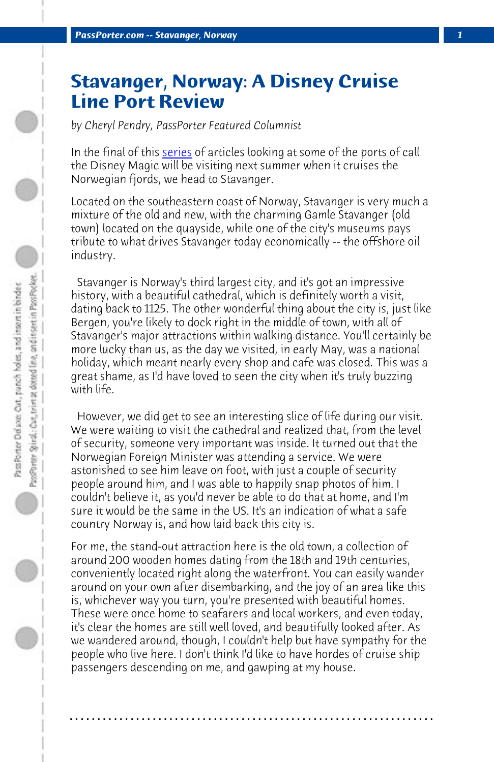**PassPorter.com -- Stavanger, Norway** 

## **Stavanger, Norway: A Disney Cruise Line Port Review**

*by Cheryl Pendry, PassPorter Featured Columnist*

In the final of this series of articles looking at some of the ports of call the Disney Magic will be visiting next summer when it cruises the Norwegian fjords, we head to Stavanger.

Located on the southeastern coast of Norway, Stavanger is very much a mixture of the old and new, with the charming Gamle Stavanger (old town) located on the quayside, while one of the city's museums pays tribute to what drives Stavanger today economically -- the offshore oil industry.

 Stavanger is Norway's third largest city, and it's got an impressive history, with a beautiful cathedral, which is definitely worth a visit, dating back to 1125. The other wonderful thing about the city is, just like Bergen, you're likely to dock right in the middle of town, with all of Stavanger's major attractions within walking distance. You'll certainly be more lucky than us, as the day we visited, in early May, was a national holiday, which meant nearly every shop and cafe was closed. This was a great shame, as I'd have loved to seen the city when it's truly buzzing with life.

 However, we did get to see an interesting slice of life during our visit. We were waiting to visit the cathedral and realized that, from the level of security, someone very important was inside. It turned out that the Norwegian Foreign Minister was attending a service. We were astonished to see him leave on foot, with just a couple of security people around him, and I was able to happily snap photos of him. I couldn't believe it, as you'd never be able to do that at home, and I'm sure it would be the same in the US. It's an indication of what a safe country Norway is, and how laid back this city is.

For me, the stand-out attraction here is the old town, a collection of around 200 wooden homes dating from the 18th and 19th centuries, conveniently located right along the waterfront. You can easily wander around on your own after disembarking, and the joy of an area like this is, whichever way you turn, you're presented with beautiful homes. These were once home to seafarers and local workers, and even today, it's clear the homes are still well loved, and beautifully looked after. As we wandered around, though, I couldn't help but have sympathy for the people who live here. I don't think I'd like to have hordes of cruise ship passengers descending on me, and gawping at my house.

**. . . . . . . . . . . . . . . . . . . . . . . . . . . . . . . . . . . . . . . . . . . . . . . . . . . . . . . . . . . . . . . . . .**

 $\bigcirc$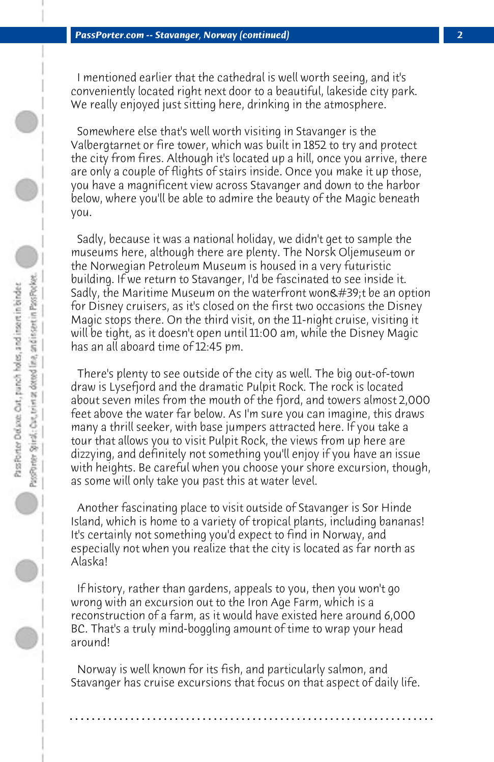I mentioned earlier that the cathedral is well worth seeing, and it's conveniently located right next door to a beautiful, lakeside city park. We really enjoyed just sitting here, drinking in the atmosphere.

 Somewhere else that's well worth visiting in Stavanger is the Valbergtarnet or fire tower, which was built in 1852 to try and protect the city from fires. Although it's located up a hill, once you arrive, there are only a couple of flights of stairs inside. Once you make it up those, you have a magnificent view across Stavanger and down to the harbor below, where you'll be able to admire the beauty of the Magic beneath you.

 Sadly, because it was a national holiday, we didn't get to sample the museums here, although there are plenty. The Norsk Oljemuseum or the Norwegian Petroleum Museum is housed in a very futuristic building. If we return to Stavanger, I'd be fascinated to see inside it. Sadly, the Maritime Museum on the waterfront won't be an option for Disney cruisers, as it's closed on the first two occasions the Disney Magic stops there. On the third visit, on the 11-night cruise, visiting it will be tight, as it doesn't open until 11:00 am, while the Disney Magic has an all aboard time of 12:45 pm.

 There's plenty to see outside of the city as well. The big out-of-town draw is Lysefjord and the dramatic Pulpit Rock. The rock is located about seven miles from the mouth of the fjord, and towers almost 2,000 feet above the water far below. As I'm sure you can imagine, this draws many a thrill seeker, with base jumpers attracted here. If you take a tour that allows you to visit Pulpit Rock, the views from up here are dizzying, and definitely not something you'll enjoy if you have an issue with heights. Be careful when you choose your shore excursion, though, as some will only take you past this at water level.

 Another fascinating place to visit outside of Stavanger is Sor Hinde Island, which is home to a variety of tropical plants, including bananas! It's certainly not something you'd expect to find in Norway, and especially not when you realize that the city is located as far north as Alaska!

 If history, rather than gardens, appeals to you, then you won't go wrong with an excursion out to the Iron Age Farm, which is a reconstruction of a farm, as it would have existed here around 6,000 BC. That's a truly mind-boggling amount of time to wrap your head around!

 Norway is well known for its fish, and particularly salmon, and Stavanger has cruise excursions that focus on that aspect of daily life.

**. . . . . . . . . . . . . . . . . . . . . . . . . . . . . . . . . . . . . . . . . . . . . . . . . . . . . . . . . . . . . . . . . .**